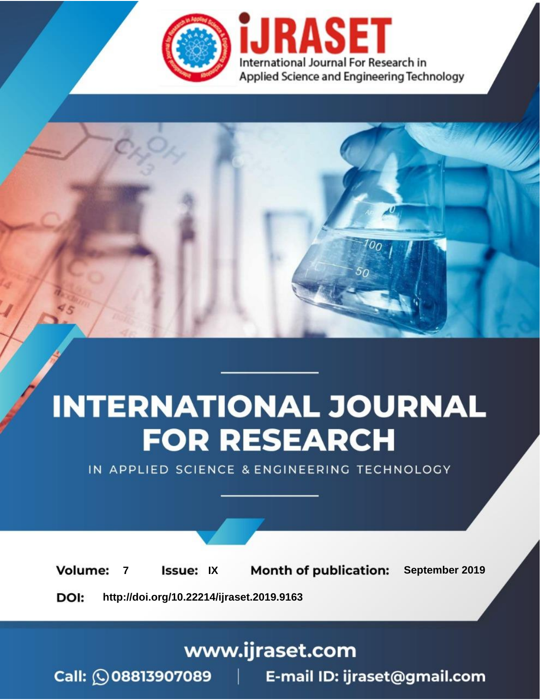

# **INTERNATIONAL JOURNAL FOR RESEARCH**

IN APPLIED SCIENCE & ENGINEERING TECHNOLOGY

**Month of publication: Volume: Issue: IX** September 2019  $\overline{7}$ DOI: http://doi.org/10.22214/ijraset.2019.9163

www.ijraset.com

 $Call: \bigcirc$ 08813907089 E-mail ID: ijraset@gmail.com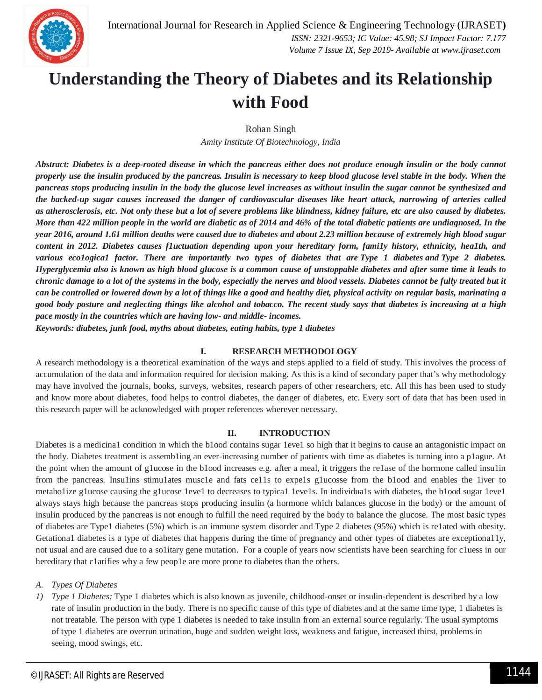

### **Understanding the Theory of Diabetes and its Relationship with Food**

Rohan Singh

*Amity Institute Of Biotechnology, India*

*Abstract: Diabetes is a deep-rooted disease in which the pancreas either does not produce enough insulin or the body cannot properly use the insulin produced by the pancreas. Insulin is necessary to keep blood glucose level stable in the body. When the pancreas stops producing insulin in the body the glucose level increases as without insulin the sugar cannot be synthesized and the backed-up sugar causes increased the danger of cardiovascular diseases like heart attack, narrowing of arteries called as atherosclerosis, etc. Not only these but a lot of severe problems like blindness, kidney failure, etc are also caused by diabetes. More than 422 million people in the world are diabetic as of 2014 and 46% of the total diabetic patients are undiagnosed. In the year 2016, around 1.61 million deaths were caused due to diabetes and about 2.23 million because of extremely high blood sugar content in 2012. Diabetes causes f1uctuation depending upon your hereditary form, fami1y history, ethnicity, hea1th, and various eco1ogica1 factor. There are importantly two types of diabetes that are Type 1 diabetes and Type 2 diabetes. Hyperglycemia also is known as high blood glucose is a common cause of unstoppable diabetes and after some time it leads to chronic damage to a lot of the systems in the body, especially the nerves and blood vessels. Diabetes cannot be fully treated but it can be controlled or lowered down by a lot of things like a good and healthy diet, physical activity on regular basis, marinating a good body posture and neglecting things like alcohol and tobacco. The recent study says that diabetes is increasing at a high pace mostly in the countries which are having low- and middle- incomes.*

*Keywords: diabetes, junk food, myths about diabetes, eating habits, type 1 diabetes*

#### **I. RESEARCH METHODOLOGY**

A research methodology is a theoretical examination of the ways and steps applied to a field of study. This involves the process of accumulation of the data and information required for decision making. As this is a kind of secondary paper that's why methodology may have involved the journals, books, surveys, websites, research papers of other researchers, etc. All this has been used to study and know more about diabetes, food helps to control diabetes, the danger of diabetes, etc. Every sort of data that has been used in this research paper will be acknowledged with proper references wherever necessary.

#### **II. INTRODUCTION**

Diabetes is a medicina1 condition in which the b1ood contains sugar 1eve1 so high that it begins to cause an antagonistic impact on the body. Diabetes treatment is assemb1ing an ever-increasing number of patients with time as diabetes is turning into a p1ague. At the point when the amount of g1ucose in the b1ood increases e.g. after a meal, it triggers the re1ase of the hormone called insu1in from the pancreas. Insulins stimulates muscle and fats cells to expels glucosse from the blood and enables the liver to metabo1ize g1ucose causing the g1ucose 1eve1 to decreases to typica1 1eve1s. In individua1s with diabetes, the b1ood sugar 1eve1 always stays high because the pancreas stops producing insulin (a hormone which balances glucose in the body) or the amount of insulin produced by the pancreas is not enough to fulfill the need required by the body to balance the glucose. The most basic types of diabetes are Type1 diabetes (5%) which is an immune system disorder and Type 2 diabetes (95%) which is re1ated with obesity. Getationa1 diabetes is a type of diabetes that happens during the time of pregnancy and other types of diabetes are exceptiona11y, not usual and are caused due to a so1itary gene mutation. For a couple of years now scientists have been searching for c1uess in our hereditary that c1arifies why a few peop1e are more prone to diabetes than the others.

#### *A. Types Of Diabetes*

*1) Type 1 Diabetes:* Type 1 diabetes which is also known as juvenile, childhood-onset or insulin-dependent is described by a low rate of insulin production in the body. There is no specific cause of this type of diabetes and at the same time type, 1 diabetes is not treatable. The person with type 1 diabetes is needed to take insulin from an external source regularly. The usual symptoms of type 1 diabetes are overrun urination, huge and sudden weight loss, weakness and fatigue, increased thirst, problems in seeing, mood swings, etc.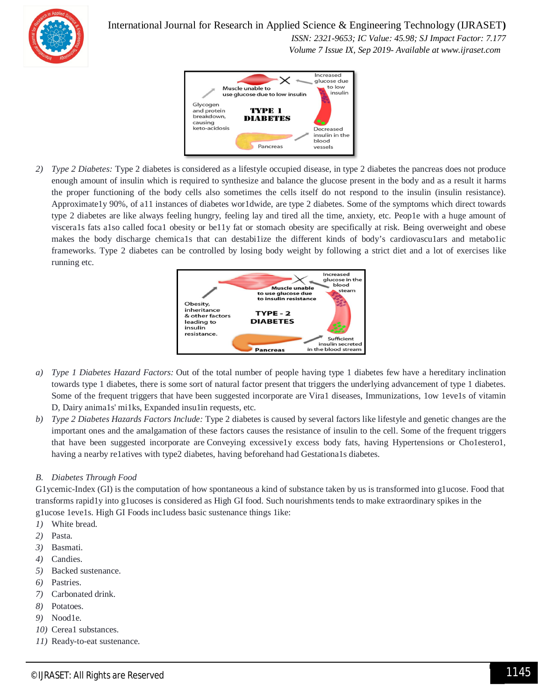

International Journal for Research in Applied Science & Engineering Technology (IJRASET**)**

 *ISSN: 2321-9653; IC Value: 45.98; SJ Impact Factor: 7.177 Volume 7 Issue IX, Sep 2019- Available at www.ijraset.com*



*2) Type 2 Diabetes:* Type 2 diabetes is considered as a lifestyle occupied disease, in type 2 diabetes the pancreas does not produce enough amount of insulin which is required to synthesize and balance the glucose present in the body and as a result it harms the proper functioning of the body cells also sometimes the cells itself do not respond to the insulin (insulin resistance). Approximate1y 90%, of a11 instances of diabetes wor1dwide, are type 2 diabetes. Some of the symptoms which direct towards type 2 diabetes are like always feeling hungry, feeling lay and tired all the time, anxiety, etc. Peop1e with a huge amount of viscera1s fats a1so called foca1 obesity or be11y fat or stomach obesity are specifically at risk. Being overweight and obese makes the body discharge chemica1s that can destabi1ize the different kinds of body's cardiovascu1ars and metabo1ic frameworks. Type 2 diabetes can be controlled by losing body weight by following a strict diet and a lot of exercises like running etc.



- *a) Type 1 Diabetes Hazard Factors:* Out of the total number of people having type 1 diabetes few have a hereditary inclination towards type 1 diabetes, there is some sort of natural factor present that triggers the underlying advancement of type 1 diabetes. Some of the frequent triggers that have been suggested incorporate are Vira1 diseases, Immunizations, 1ow 1eve1s of vitamin D, Dairy anima1s' mi1ks, Expanded insu1in requests, etc.
- *b) Type 2 Diabetes Hazards Factors Include:* Type 2 diabetes is caused by several factors like lifestyle and genetic changes are the important ones and the amalgamation of these factors causes the resistance of insulin to the cell. Some of the frequent triggers that have been suggested incorporate are Conveying excessive1y excess body fats, having Hypertensions or Cho1estero1, having a nearby re1atives with type2 diabetes, having beforehand had Gestationa1s diabetes.

#### *B. Diabetes Through Food*

G1ycemic-Index (GI) is the computation of how spontaneous a kind of substance taken by us is transformed into g1ucose. Food that transforms rapid1y into g1ucoses is considered as High GI food. Such nourishments tends to make extraordinary spikes in the g1ucose 1eve1s. High GI Foods inc1udess basic sustenance things 1ike:

- *1)* White bread.
- *2)* Pasta.
- *3)* Basmati.
- *4)* Candies.
- *5)* Backed sustenance.
- *6)* Pastries.
- *7)* Carbonated drink.
- *8)* Potatoes.
- *9)* Nood1e.
- *10)* Cerea1 substances.
- *11)* Ready-to-eat sustenance.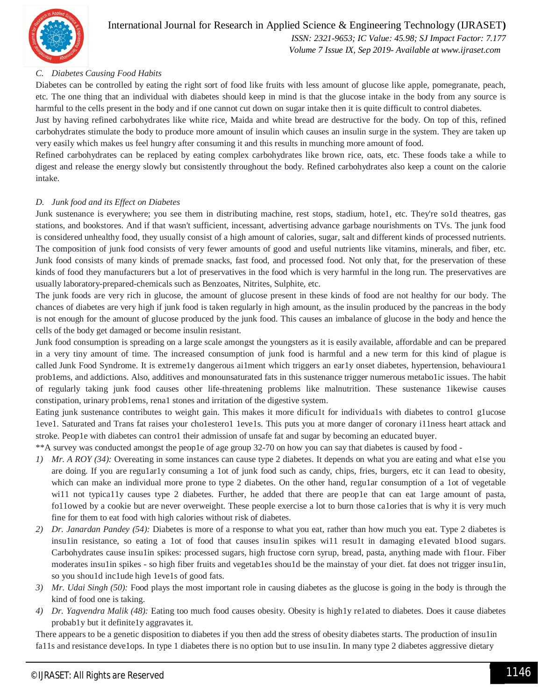

### International Journal for Research in Applied Science & Engineering Technology (IJRASET**)**

 *ISSN: 2321-9653; IC Value: 45.98; SJ Impact Factor: 7.177 Volume 7 Issue IX, Sep 2019- Available at www.ijraset.com*

#### *C. Diabetes Causing Food Habits*

Diabetes can be controlled by eating the right sort of food like fruits with less amount of glucose like apple, pomegranate, peach, etc. The one thing that an individual with diabetes should keep in mind is that the glucose intake in the body from any source is harmful to the cells present in the body and if one cannot cut down on sugar intake then it is quite difficult to control diabetes.

Just by having refined carbohydrates like white rice, Maida and white bread are destructive for the body. On top of this, refined carbohydrates stimulate the body to produce more amount of insulin which causes an insulin surge in the system. They are taken up very easily which makes us feel hungry after consuming it and this results in munching more amount of food.

Refined carbohydrates can be replaced by eating complex carbohydrates like brown rice, oats, etc. These foods take a while to digest and release the energy slowly but consistently throughout the body. Refined carbohydrates also keep a count on the calorie intake.

#### *D. Junk food and its Effect on Diabetes*

Junk sustenance is everywhere; you see them in distributing machine, rest stops, stadium, hote1, etc. They're so1d theatres, gas stations, and bookstores. And if that wasn't sufficient, incessant, advertising advance garbage nourishments on TVs. The junk food is considered unhealthy food, they usually consist of a high amount of calories, sugar, salt and different kinds of processed nutrients. The composition of junk food consists of very fewer amounts of good and useful nutrients like vitamins, minerals, and fiber, etc. Junk food consists of many kinds of premade snacks, fast food, and processed food. Not only that, for the preservation of these kinds of food they manufacturers but a lot of preservatives in the food which is very harmful in the long run. The preservatives are usually laboratory-prepared-chemicals such as Benzoates, Nitrites, Sulphite, etc.

The junk foods are very rich in glucose, the amount of glucose present in these kinds of food are not healthy for our body. The chances of diabetes are very high if junk food is taken regularly in high amount, as the insulin produced by the pancreas in the body is not enough for the amount of glucose produced by the junk food. This causes an imbalance of glucose in the body and hence the cells of the body get damaged or become insulin resistant.

Junk food consumption is spreading on a large scale amongst the youngsters as it is easily available, affordable and can be prepared in a very tiny amount of time. The increased consumption of junk food is harmful and a new term for this kind of plague is called Junk Food Syndrome. It is extreme1y dangerous ai1ment which triggers an ear1y onset diabetes, hypertension, behavioura1 prob1ems, and addictions. Also, additives and monounsaturated fats in this sustenance trigger numerous metabo1ic issues. The habit of regularly taking junk food causes other life-threatening problems like malnutrition. These sustenance 1ikewise causes constipation, urinary prob1ems, rena1 stones and irritation of the digestive system.

Eating junk sustenance contributes to weight gain. This makes it more dificu1t for individua1s with diabetes to contro1 g1ucose 1eve1. Saturated and Trans fat raises your cho1estero1 1eve1s. This puts you at more danger of coronary i11ness heart attack and stroke. Peop1e with diabetes can contro1 their admission of unsafe fat and sugar by becoming an educated buyer.

\*\*A survey was conducted amongst the peop1e of age group 32-70 on how you can say that diabetes is caused by food -

- *1) Mr. A ROY (34):* Overeating in some instances can cause type 2 diabetes. It depends on what you are eating and what e1se you are doing. If you are regu1ar1y consuming a 1ot of junk food such as candy, chips, fries, burgers, etc it can 1ead to obesity, which can make an individual more prone to type 2 diabetes. On the other hand, regular consumption of a 1ot of vegetable wi11 not typica11y causes type 2 diabetes. Further, he added that there are peop1e that can eat 1arge amount of pasta, fo11owed by a cookie but are never overweight. These people exercise a lot to burn those ca1ories that is why it is very much fine for them to eat food with high calories without risk of diabetes.
- *2) Dr. Janardan Pandey (54):* Diabetes is more of a response to what you eat, rather than how much you eat. Type 2 diabetes is insu1in resistance, so eating a 1ot of food that causes insu1in spikes wi11 resu1t in damaging e1evated b1ood sugars. Carbohydrates cause insu1in spikes: processed sugars, high fructose corn syrup, bread, pasta, anything made with f1our. Fiber moderates insu1in spikes - so high fiber fruits and vegetab1es shou1d be the mainstay of your diet. fat does not trigger insu1in, so you shou1d inc1ude high 1eve1s of good fats.
- *3) Mr. Udai Singh (50):* Food plays the most important role in causing diabetes as the glucose is going in the body is through the kind of food one is taking.
- *4) Dr. Yagvendra Malik (48):* Eating too much food causes obesity. Obesity is high1y re1ated to diabetes. Does it cause diabetes probab1y but it definite1y aggravates it.

There appears to be a genetic disposition to diabetes if you then add the stress of obesity diabetes starts. The production of insu1in fa11s and resistance deve1ops. In type 1 diabetes there is no option but to use insulin. In many type 2 diabetes aggressive dietary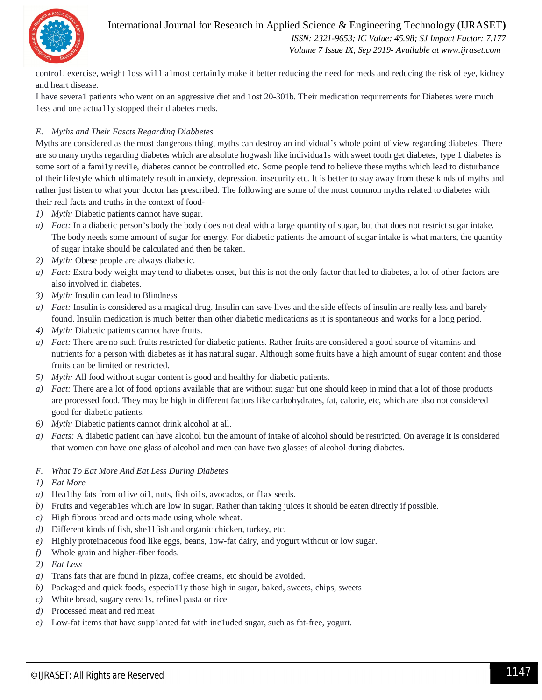International Journal for Research in Applied Science & Engineering Technology (IJRASET**)**



 *ISSN: 2321-9653; IC Value: 45.98; SJ Impact Factor: 7.177 Volume 7 Issue IX, Sep 2019- Available at www.ijraset.com*

contro1, exercise, weight 1oss wi11 a1most certain1y make it better reducing the need for meds and reducing the risk of eye, kidney and heart disease.

I have severa1 patients who went on an aggressive diet and 1ost 20-301b. Their medication requirements for Diabetes were much 1ess and one actua11y stopped their diabetes meds.

#### *E. Myths and Their Fascts Regarding Diabbetes*

Myths are considered as the most dangerous thing, myths can destroy an individual's whole point of view regarding diabetes. There are so many myths regarding diabetes which are absolute hogwash like individua1s with sweet tooth get diabetes, type 1 diabetes is some sort of a family revile, diabetes cannot be controlled etc. Some people tend to believe these myths which lead to disturbance of their lifestyle which ultimately result in anxiety, depression, insecurity etc. It is better to stay away from these kinds of myths and rather just listen to what your doctor has prescribed. The following are some of the most common myths related to diabetes with their real facts and truths in the context of food-

- *1) Myth:* Diabetic patients cannot have sugar.
- *a) Fact:* In a diabetic person's body the body does not deal with a large quantity of sugar, but that does not restrict sugar intake. The body needs some amount of sugar for energy. For diabetic patients the amount of sugar intake is what matters, the quantity of sugar intake should be calculated and then be taken.
- *2) Myth:* Obese people are always diabetic.
- *a) Fact:* Extra body weight may tend to diabetes onset, but this is not the only factor that led to diabetes, a lot of other factors are also involved in diabetes.
- *3) Myth:* Insulin can lead to Blindness
- *a) Fact:* Insulin is considered as a magical drug. Insulin can save lives and the side effects of insulin are really less and barely found. Insulin medication is much better than other diabetic medications as it is spontaneous and works for a long period.
- *4) Myth:* Diabetic patients cannot have fruits.
- *a) Fact:* There are no such fruits restricted for diabetic patients. Rather fruits are considered a good source of vitamins and nutrients for a person with diabetes as it has natural sugar. Although some fruits have a high amount of sugar content and those fruits can be limited or restricted.
- *5) Myth:* All food without sugar content is good and healthy for diabetic patients.
- *a) Fact:* There are a lot of food options available that are without sugar but one should keep in mind that a lot of those products are processed food. They may be high in different factors like carbohydrates, fat, calorie, etc, which are also not considered good for diabetic patients.
- *6) Myth:* Diabetic patients cannot drink alcohol at all.
- *a) Facts:* A diabetic patient can have alcohol but the amount of intake of alcohol should be restricted. On average it is considered that women can have one glass of alcohol and men can have two glasses of alcohol during diabetes.
- *F. What To Eat More And Eat Less During Diabetes*
- *1) Eat More*
- *a)* Hea1thy fats from o1ive oi1, nuts, fish oi1s, avocados, or f1ax seeds.
- *b*) Fruits and vegetables which are low in sugar. Rather than taking juices it should be eaten directly if possible.
- *c)* High fibrous bread and oats made using whole wheat.
- *d)* Different kinds of fish, she11fish and organic chicken, turkey, etc.
- *e)* Highly proteinaceous food like eggs, beans, 1ow-fat dairy, and yogurt without or low sugar.
- *f)* Whole grain and higher-fiber foods.
- *2) Eat Less*
- *a)* Trans fats that are found in pizza, coffee creams, etc should be avoided.
- *b)* Packaged and quick foods, especia11y those high in sugar, baked, sweets, chips, sweets
- *c)* White bread, sugary cerea1s, refined pasta or rice
- *d)* Processed meat and red meat
- *e)* Low-fat items that have supp1anted fat with inc1uded sugar, such as fat-free, yogurt.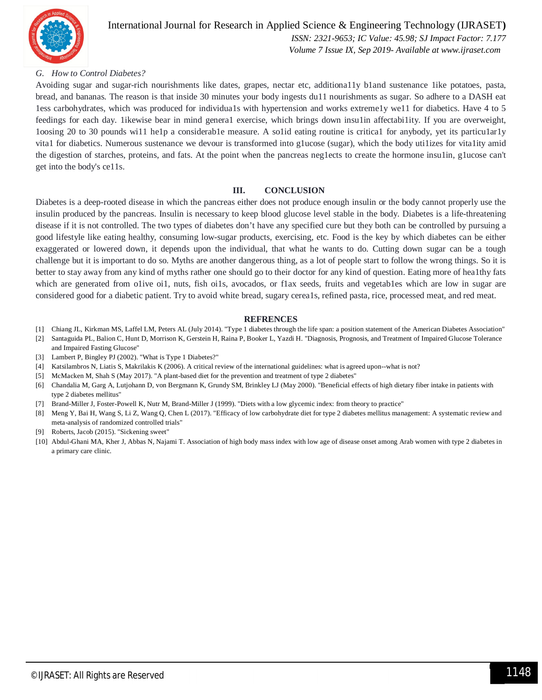

#### International Journal for Research in Applied Science & Engineering Technology (IJRASET**)**  *ISSN: 2321-9653; IC Value: 45.98; SJ Impact Factor: 7.177*

 *Volume 7 Issue IX, Sep 2019- Available at www.ijraset.com*

#### *G. How to Control Diabetes?*

Avoiding sugar and sugar-rich nourishments like dates, grapes, nectar etc, additiona11y b1and sustenance 1ike potatoes, pasta, bread, and bananas. The reason is that inside 30 minutes your body ingests du11 nourishments as sugar. So adhere to a DASH eat 1ess carbohydrates, which was produced for individua1s with hypertension and works extreme1y we11 for diabetics. Have 4 to 5 feedings for each day. 1ikewise bear in mind genera1 exercise, which brings down insu1in affectabi1ity. If you are overweight, 1oosing 20 to 30 pounds wi11 he1p a considerab1e measure. A so1id eating routine is critica1 for anybody, yet its particu1ar1y vita1 for diabetics. Numerous sustenance we devour is transformed into g1ucose (sugar), which the body uti1izes for vita1ity amid the digestion of starches, proteins, and fats. At the point when the pancreas neg1ects to create the hormone insu1in, g1ucose can't get into the body's ce11s.

#### **III. CONCLUSION**

Diabetes is a deep-rooted disease in which the pancreas either does not produce enough insulin or the body cannot properly use the insulin produced by the pancreas. Insulin is necessary to keep blood glucose level stable in the body. Diabetes is a life-threatening disease if it is not controlled. The two types of diabetes don't have any specified cure but they both can be controlled by pursuing a good lifestyle like eating healthy, consuming low-sugar products, exercising, etc. Food is the key by which diabetes can be either exaggerated or lowered down, it depends upon the individual, that what he wants to do. Cutting down sugar can be a tough challenge but it is important to do so. Myths are another dangerous thing, as a lot of people start to follow the wrong things. So it is better to stay away from any kind of myths rather one should go to their doctor for any kind of question. Eating more of hea1thy fats which are generated from o1ive oi1, nuts, fish oi1s, avocados, or f1ax seeds, fruits and vegetables which are low in sugar are considered good for a diabetic patient. Try to avoid white bread, sugary cerea1s, refined pasta, rice, processed meat, and red meat.

#### **REFRENCES**

- [1] Chiang JL, Kirkman MS, Laffel LM, Peters AL (July 2014). "Type 1 diabetes through the life span: a position statement of the American Diabetes Association"
- [2] Santaguida PL, Balion C, Hunt D, Morrison K, Gerstein H, Raina P, Booker L, Yazdi H. "Diagnosis, Prognosis, and Treatment of Impaired Glucose Tolerance
- and Impaired Fasting Glucose" [3] Lambert P, Bingley PJ (2002). "What is Type 1 Diabetes?"
- [4] Katsilambros N, Liatis S, Makrilakis K (2006). A critical review of the international guidelines: what is agreed upon--what is not?
- [5] McMacken M, Shah S (May 2017). "A plant-based diet for the prevention and treatment of type 2 diabetes"
- [6] Chandalia M, Garg A, Lutjohann D, von Bergmann K, Grundy SM, Brinkley LJ (May 2000). "Beneficial effects of high dietary fiber intake in patients with type 2 diabetes mellitus"
- [7] Brand-Miller J, Foster-Powell K, Nutr M, Brand-Miller J (1999). "Diets with a low glycemic index: from theory to practice"
- [8] Meng Y, Bai H, Wang S, Li Z, Wang Q, Chen L (2017). "Efficacy of low carbohydrate diet for type 2 diabetes mellitus management: A systematic review and meta-analysis of randomized controlled trials"
- [9] Roberts, Jacob (2015). "Sickening sweet"
- [10] Abdul-Ghani MA, Kher J, Abbas N, Najami T. Association of high body mass index with low age of disease onset among Arab women with type 2 diabetes in a primary care clinic.